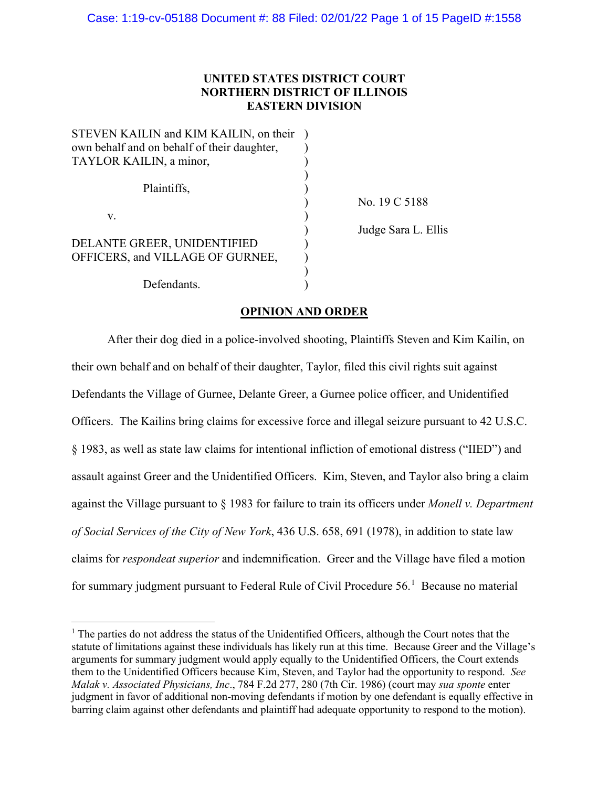## **UNITED STATES DISTRICT COURT NORTHERN DISTRICT OF ILLINOIS EASTERN DIVISION**

| STEVEN KAILIN and KIM KAILIN, on their      |   |  |
|---------------------------------------------|---|--|
| own behalf and on behalf of their daughter, |   |  |
| TAYLOR KAILIN, a minor,                     |   |  |
|                                             |   |  |
| Plaintiffs,                                 |   |  |
|                                             |   |  |
| V.                                          |   |  |
|                                             | h |  |
| DELANTE GREER, UNIDENTIFIED                 |   |  |
| OFFICERS, and VILLAGE OF GURNEE,            |   |  |
|                                             |   |  |
| Defendants.                                 |   |  |
|                                             |   |  |

lo. 19 C 5188 ) Judge Sara L. Ellis

# **OPINION AND ORDER**

After their dog died in a police-involved shooting, Plaintiffs Steven and Kim Kailin, on their own behalf and on behalf of their daughter, Taylor, filed this civil rights suit against Defendants the Village of Gurnee, Delante Greer, a Gurnee police officer, and Unidentified Officers. The Kailins bring claims for excessive force and illegal seizure pursuant to 42 U.S.C. § 1983, as well as state law claims for intentional infliction of emotional distress ("IIED") and assault against Greer and the Unidentified Officers. Kim, Steven, and Taylor also bring a claim against the Village pursuant to § 1983 for failure to train its officers under *Monell v. Department of Social Services of the City of New York*, 436 U.S. 658, 691 (1978), in addition to state law claims for *respondeat superior* and indemnification. Greer and the Village have filed a motion for summary judgment pursuant to Federal Rule of Civil Procedure  $56<sup>1</sup>$  $56<sup>1</sup>$  $56<sup>1</sup>$  Because no material

<span id="page-0-0"></span> $1$  The parties do not address the status of the Unidentified Officers, although the Court notes that the statute of limitations against these individuals has likely run at this time. Because Greer and the Village's arguments for summary judgment would apply equally to the Unidentified Officers, the Court extends them to the Unidentified Officers because Kim, Steven, and Taylor had the opportunity to respond. *See Malak v. Associated Physicians, Inc*., 784 F.2d 277, 280 (7th Cir. 1986) (court may *sua sponte* enter judgment in favor of additional non-moving defendants if motion by one defendant is equally effective in barring claim against other defendants and plaintiff had adequate opportunity to respond to the motion).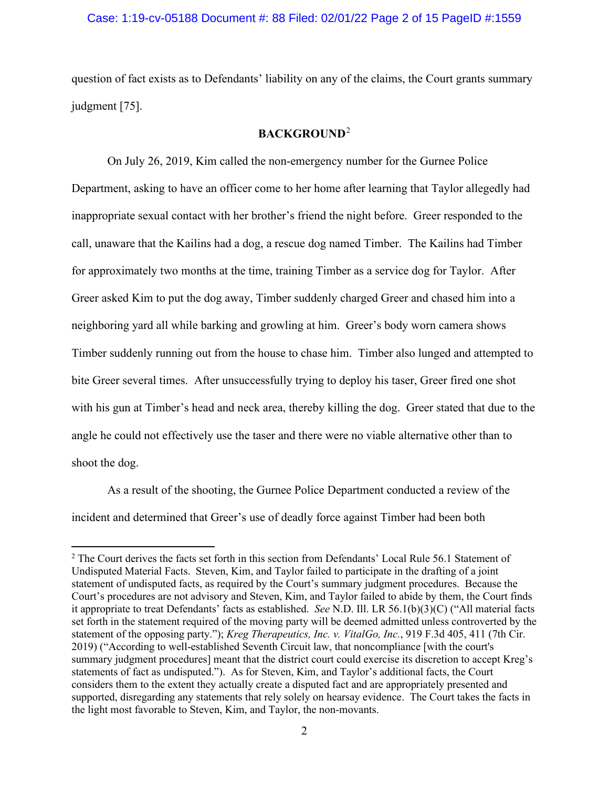### Case: 1:19-cv-05188 Document #: 88 Filed: 02/01/22 Page 2 of 15 PageID #:1559

question of fact exists as to Defendants' liability on any of the claims, the Court grants summary judgment [75].

## **BACKGROUND**[2](#page-1-0)

On July 26, 2019, Kim called the non-emergency number for the Gurnee Police Department, asking to have an officer come to her home after learning that Taylor allegedly had inappropriate sexual contact with her brother's friend the night before. Greer responded to the call, unaware that the Kailins had a dog, a rescue dog named Timber. The Kailins had Timber for approximately two months at the time, training Timber as a service dog for Taylor. After Greer asked Kim to put the dog away, Timber suddenly charged Greer and chased him into a neighboring yard all while barking and growling at him. Greer's body worn camera shows Timber suddenly running out from the house to chase him. Timber also lunged and attempted to bite Greer several times. After unsuccessfully trying to deploy his taser, Greer fired one shot with his gun at Timber's head and neck area, thereby killing the dog. Greer stated that due to the angle he could not effectively use the taser and there were no viable alternative other than to shoot the dog.

As a result of the shooting, the Gurnee Police Department conducted a review of the incident and determined that Greer's use of deadly force against Timber had been both

<span id="page-1-0"></span><sup>&</sup>lt;sup>2</sup> The Court derives the facts set forth in this section from Defendants' Local Rule 56.1 Statement of Undisputed Material Facts. Steven, Kim, and Taylor failed to participate in the drafting of a joint statement of undisputed facts, as required by the Court's summary judgment procedures. Because the Court's procedures are not advisory and Steven, Kim, and Taylor failed to abide by them, the Court finds it appropriate to treat Defendants' facts as established. *See* N.D. Ill. LR 56.1(b)(3)(C) ("All material facts set forth in the statement required of the moving party will be deemed admitted unless controverted by the statement of the opposing party."); *Kreg Therapeutics, Inc. v. VitalGo, Inc.*, 919 F.3d 405, 411 (7th Cir. 2019) ("According to well-established Seventh Circuit law, that noncompliance [with the court's summary judgment procedures] meant that the district court could exercise its discretion to accept Kreg's statements of fact as undisputed."). As for Steven, Kim, and Taylor's additional facts, the Court considers them to the extent they actually create a disputed fact and are appropriately presented and supported, disregarding any statements that rely solely on hearsay evidence. The Court takes the facts in the light most favorable to Steven, Kim, and Taylor, the non-movants.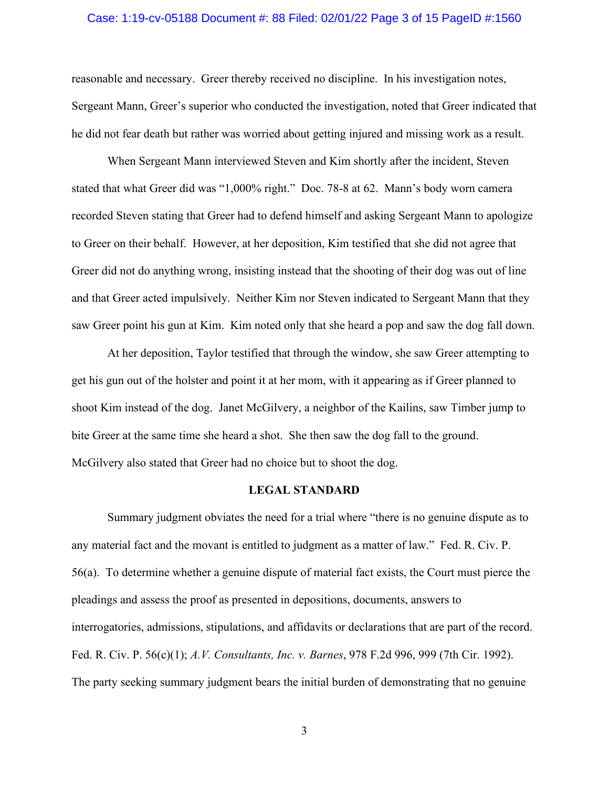#### Case: 1:19-cv-05188 Document #: 88 Filed: 02/01/22 Page 3 of 15 PageID #:1560

reasonable and necessary. Greer thereby received no discipline. In his investigation notes, Sergeant Mann, Greer's superior who conducted the investigation, noted that Greer indicated that he did not fear death but rather was worried about getting injured and missing work as a result.

When Sergeant Mann interviewed Steven and Kim shortly after the incident, Steven stated that what Greer did was "1,000% right." Doc. 78-8 at 62. Mann's body worn camera recorded Steven stating that Greer had to defend himself and asking Sergeant Mann to apologize to Greer on their behalf. However, at her deposition, Kim testified that she did not agree that Greer did not do anything wrong, insisting instead that the shooting of their dog was out of line and that Greer acted impulsively. Neither Kim nor Steven indicated to Sergeant Mann that they saw Greer point his gun at Kim. Kim noted only that she heard a pop and saw the dog fall down.

At her deposition, Taylor testified that through the window, she saw Greer attempting to get his gun out of the holster and point it at her mom, with it appearing as if Greer planned to shoot Kim instead of the dog. Janet McGilvery, a neighbor of the Kailins, saw Timber jump to bite Greer at the same time she heard a shot. She then saw the dog fall to the ground. McGilvery also stated that Greer had no choice but to shoot the dog.

#### **LEGAL STANDARD**

Summary judgment obviates the need for a trial where "there is no genuine dispute as to any material fact and the movant is entitled to judgment as a matter of law." Fed. R. Civ. P. 56(a). To determine whether a genuine dispute of material fact exists, the Court must pierce the pleadings and assess the proof as presented in depositions, documents, answers to interrogatories, admissions, stipulations, and affidavits or declarations that are part of the record. Fed. R. Civ. P. 56(c)(1); *A.V. Consultants, Inc. v. Barnes*, 978 F.2d 996, 999 (7th Cir. 1992). The party seeking summary judgment bears the initial burden of demonstrating that no genuine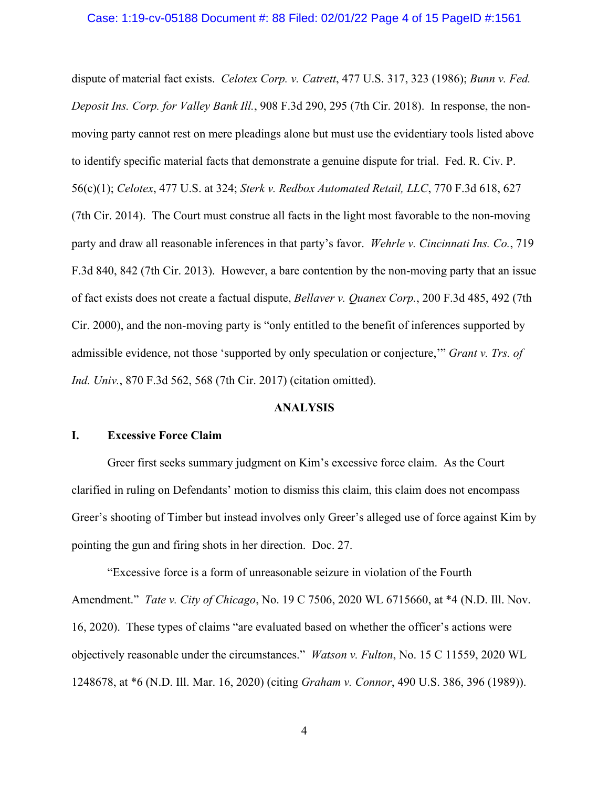#### Case: 1:19-cv-05188 Document #: 88 Filed: 02/01/22 Page 4 of 15 PageID #:1561

dispute of material fact exists. *Celotex Corp. v. Catrett*, 477 U.S. 317, 323 (1986); *Bunn v. Fed. Deposit Ins. Corp. for Valley Bank Ill.*, 908 F.3d 290, 295 (7th Cir. 2018). In response, the nonmoving party cannot rest on mere pleadings alone but must use the evidentiary tools listed above to identify specific material facts that demonstrate a genuine dispute for trial. Fed. R. Civ. P. 56(c)(1); *Celotex*, 477 U.S. at 324; *Sterk v. Redbox Automated Retail, LLC*, 770 F.3d 618, 627 (7th Cir. 2014). The Court must construe all facts in the light most favorable to the non-moving party and draw all reasonable inferences in that party's favor. *Wehrle v. Cincinnati Ins. Co.*, 719 F.3d 840, 842 (7th Cir. 2013). However, a bare contention by the non-moving party that an issue of fact exists does not create a factual dispute, *Bellaver v. Quanex Corp.*, 200 F.3d 485, 492 (7th Cir. 2000), and the non-moving party is "only entitled to the benefit of inferences supported by admissible evidence, not those 'supported by only speculation or conjecture,'" *Grant v. Trs. of Ind. Univ.*, 870 F.3d 562, 568 (7th Cir. 2017) (citation omitted).

#### **ANALYSIS**

#### **I. Excessive Force Claim**

Greer first seeks summary judgment on Kim's excessive force claim. As the Court clarified in ruling on Defendants' motion to dismiss this claim, this claim does not encompass Greer's shooting of Timber but instead involves only Greer's alleged use of force against Kim by pointing the gun and firing shots in her direction. Doc. 27.

"Excessive force is a form of unreasonable seizure in violation of the Fourth Amendment." *Tate v. City of Chicago*, No. 19 C 7506, 2020 WL 6715660, at \*4 (N.D. Ill. Nov. 16, 2020). These types of claims "are evaluated based on whether the officer's actions were objectively reasonable under the circumstances." *Watson v. Fulton*, No. 15 C 11559, 2020 WL 1248678, at \*6 (N.D. Ill. Mar. 16, 2020) (citing *Graham v. Connor*, 490 U.S. 386, 396 (1989)).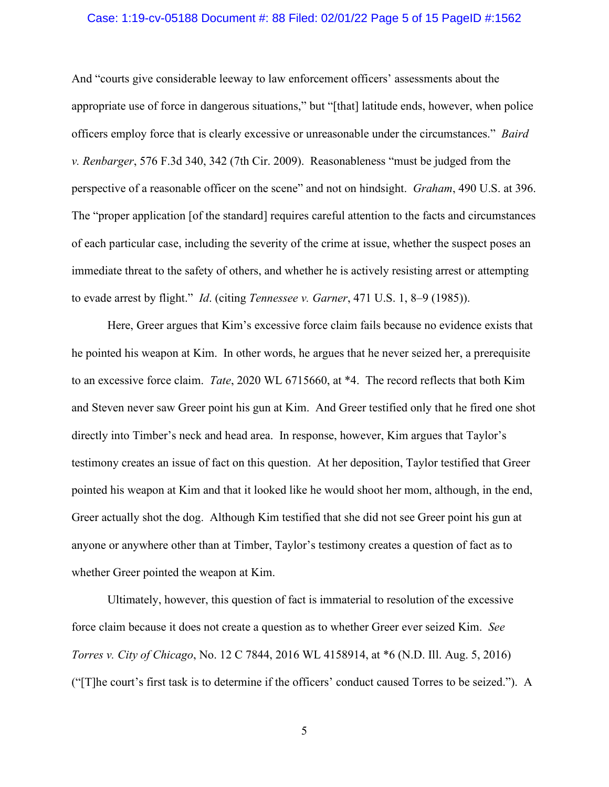#### Case: 1:19-cv-05188 Document #: 88 Filed: 02/01/22 Page 5 of 15 PageID #:1562

And "courts give considerable leeway to law enforcement officers' assessments about the appropriate use of force in dangerous situations," but "[that] latitude ends, however, when police officers employ force that is clearly excessive or unreasonable under the circumstances." *Baird v. Renbarger*, 576 F.3d 340, 342 (7th Cir. 2009). Reasonableness "must be judged from the perspective of a reasonable officer on the scene" and not on hindsight. *Graham*, 490 U.S. at 396. The "proper application [of the standard] requires careful attention to the facts and circumstances of each particular case, including the severity of the crime at issue, whether the suspect poses an immediate threat to the safety of others, and whether he is actively resisting arrest or attempting to evade arrest by flight." *Id*. (citing *Tennessee v. Garner*, 471 U.S. 1, 8–9 (1985)).

Here, Greer argues that Kim's excessive force claim fails because no evidence exists that he pointed his weapon at Kim. In other words, he argues that he never seized her, a prerequisite to an excessive force claim. *Tate*, 2020 WL 6715660, at \*4. The record reflects that both Kim and Steven never saw Greer point his gun at Kim. And Greer testified only that he fired one shot directly into Timber's neck and head area. In response, however, Kim argues that Taylor's testimony creates an issue of fact on this question. At her deposition, Taylor testified that Greer pointed his weapon at Kim and that it looked like he would shoot her mom, although, in the end, Greer actually shot the dog. Although Kim testified that she did not see Greer point his gun at anyone or anywhere other than at Timber, Taylor's testimony creates a question of fact as to whether Greer pointed the weapon at Kim.

Ultimately, however, this question of fact is immaterial to resolution of the excessive force claim because it does not create a question as to whether Greer ever seized Kim. *See Torres v. City of Chicago*, No. 12 C 7844, 2016 WL 4158914, at \*6 (N.D. Ill. Aug. 5, 2016) ("[T]he court's first task is to determine if the officers' conduct caused Torres to be seized."). A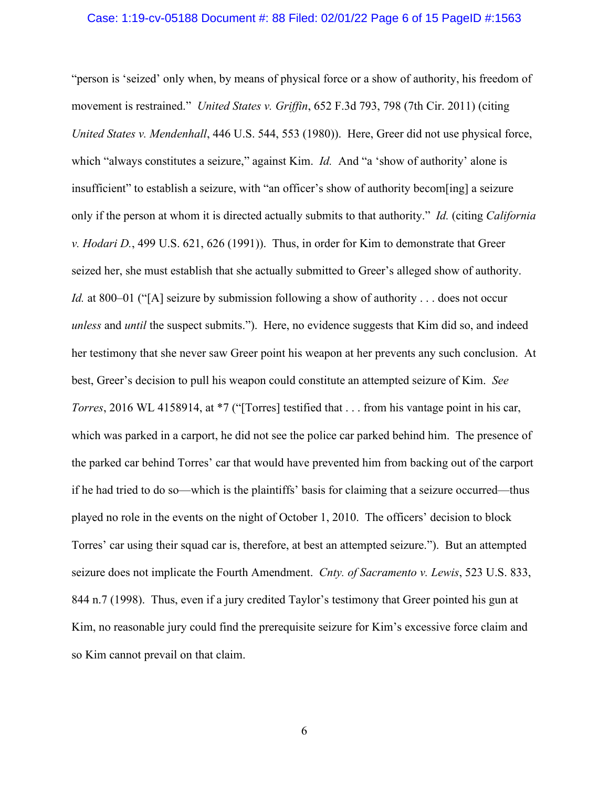#### Case: 1:19-cv-05188 Document #: 88 Filed: 02/01/22 Page 6 of 15 PageID #:1563

"person is 'seized' only when, by means of physical force or a show of authority, his freedom of movement is restrained." *United States v. Griffin*, 652 F.3d 793, 798 (7th Cir. 2011) (citing *United States v. Mendenhall*, 446 U.S. 544, 553 (1980)). Here, Greer did not use physical force, which "always constitutes a seizure," against Kim. *Id.* And "a 'show of authority' alone is insufficient" to establish a seizure, with "an officer's show of authority becom[ing] a seizure only if the person at whom it is directed actually submits to that authority." *Id.* (citing *California v. Hodari D.*, 499 U.S. 621, 626 (1991)). Thus, in order for Kim to demonstrate that Greer seized her, she must establish that she actually submitted to Greer's alleged show of authority. *Id.* at 800–01 ("[A] seizure by submission following a show of authority . . . does not occur *unless* and *until* the suspect submits."). Here, no evidence suggests that Kim did so, and indeed her testimony that she never saw Greer point his weapon at her prevents any such conclusion. At best, Greer's decision to pull his weapon could constitute an attempted seizure of Kim. *See Torres*, 2016 WL 4158914, at \*7 ("[Torres] testified that . . . from his vantage point in his car, which was parked in a carport, he did not see the police car parked behind him. The presence of the parked car behind Torres' car that would have prevented him from backing out of the carport if he had tried to do so—which is the plaintiffs' basis for claiming that a seizure occurred—thus played no role in the events on the night of October 1, 2010. The officers' decision to block Torres' car using their squad car is, therefore, at best an attempted seizure."). But an attempted seizure does not implicate the Fourth Amendment. *Cnty. of Sacramento v. Lewis*, 523 U.S. 833, 844 n.7 (1998). Thus, even if a jury credited Taylor's testimony that Greer pointed his gun at Kim, no reasonable jury could find the prerequisite seizure for Kim's excessive force claim and so Kim cannot prevail on that claim.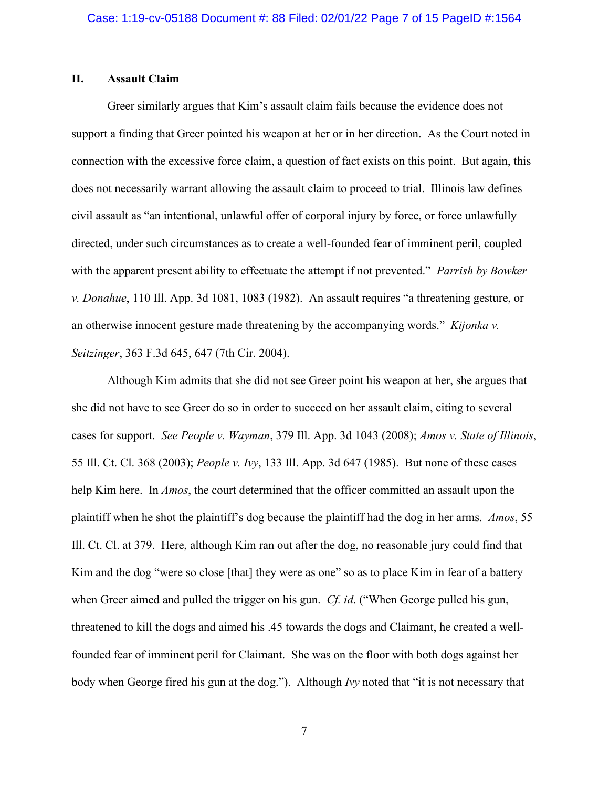## **II. Assault Claim**

Greer similarly argues that Kim's assault claim fails because the evidence does not support a finding that Greer pointed his weapon at her or in her direction. As the Court noted in connection with the excessive force claim, a question of fact exists on this point. But again, this does not necessarily warrant allowing the assault claim to proceed to trial. Illinois law defines civil assault as "an intentional, unlawful offer of corporal injury by force, or force unlawfully directed, under such circumstances as to create a well-founded fear of imminent peril, coupled with the apparent present ability to effectuate the attempt if not prevented." *Parrish by Bowker v. Donahue*, 110 Ill. App. 3d 1081, 1083 (1982). An assault requires "a threatening gesture, or an otherwise innocent gesture made threatening by the accompanying words." *Kijonka v. Seitzinger*, 363 F.3d 645, 647 (7th Cir. 2004).

Although Kim admits that she did not see Greer point his weapon at her, she argues that she did not have to see Greer do so in order to succeed on her assault claim, citing to several cases for support. *See People v. Wayman*, 379 Ill. App. 3d 1043 (2008); *Amos v. State of Illinois*, 55 Ill. Ct. Cl. 368 (2003); *People v. Ivy*, 133 Ill. App. 3d 647 (1985). But none of these cases help Kim here. In *Amos*, the court determined that the officer committed an assault upon the plaintiff when he shot the plaintiff's dog because the plaintiff had the dog in her arms. *Amos*, 55 Ill. Ct. Cl. at 379. Here, although Kim ran out after the dog, no reasonable jury could find that Kim and the dog "were so close [that] they were as one" so as to place Kim in fear of a battery when Greer aimed and pulled the trigger on his gun. *Cf. id*. ("When George pulled his gun, threatened to kill the dogs and aimed his .45 towards the dogs and Claimant, he created a wellfounded fear of imminent peril for Claimant. She was on the floor with both dogs against her body when George fired his gun at the dog."). Although *Ivy* noted that "it is not necessary that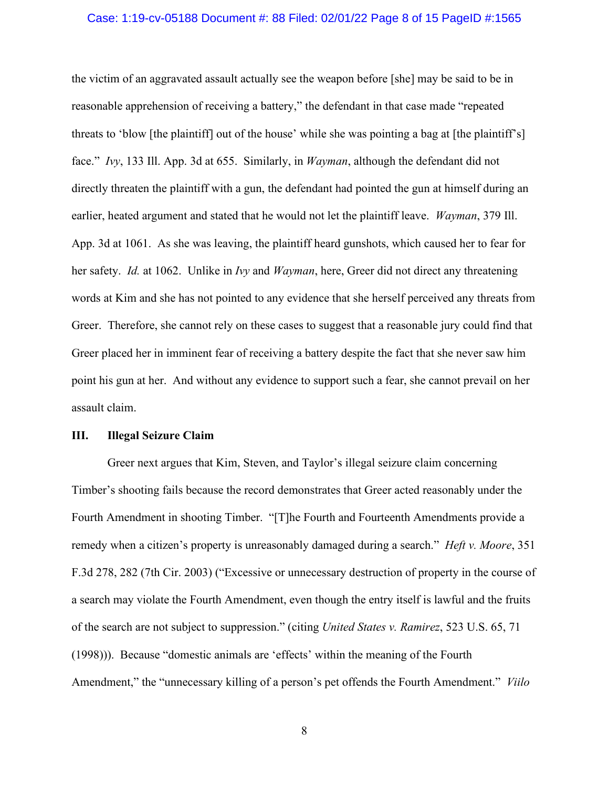#### Case: 1:19-cv-05188 Document #: 88 Filed: 02/01/22 Page 8 of 15 PageID #:1565

the victim of an aggravated assault actually see the weapon before [she] may be said to be in reasonable apprehension of receiving a battery," the defendant in that case made "repeated threats to 'blow [the plaintiff] out of the house' while she was pointing a bag at [the plaintiff's] face." *Ivy*, 133 Ill. App. 3d at 655. Similarly, in *Wayman*, although the defendant did not directly threaten the plaintiff with a gun, the defendant had pointed the gun at himself during an earlier, heated argument and stated that he would not let the plaintiff leave. *Wayman*, 379 Ill. App. 3d at 1061. As she was leaving, the plaintiff heard gunshots, which caused her to fear for her safety. *Id.* at 1062. Unlike in *Ivy* and *Wayman*, here, Greer did not direct any threatening words at Kim and she has not pointed to any evidence that she herself perceived any threats from Greer. Therefore, she cannot rely on these cases to suggest that a reasonable jury could find that Greer placed her in imminent fear of receiving a battery despite the fact that she never saw him point his gun at her. And without any evidence to support such a fear, she cannot prevail on her assault claim.

## **III. Illegal Seizure Claim**

Greer next argues that Kim, Steven, and Taylor's illegal seizure claim concerning Timber's shooting fails because the record demonstrates that Greer acted reasonably under the Fourth Amendment in shooting Timber. "[T]he Fourth and Fourteenth Amendments provide a remedy when a citizen's property is unreasonably damaged during a search." *Heft v. Moore*, 351 F.3d 278, 282 (7th Cir. 2003) ("Excessive or unnecessary destruction of property in the course of a search may violate the Fourth Amendment, even though the entry itself is lawful and the fruits of the search are not subject to suppression." (citing *United States v. Ramirez*, 523 U.S. 65, 71 (1998))). Because "domestic animals are 'effects' within the meaning of the Fourth Amendment," the "unnecessary killing of a person's pet offends the Fourth Amendment." *Viilo*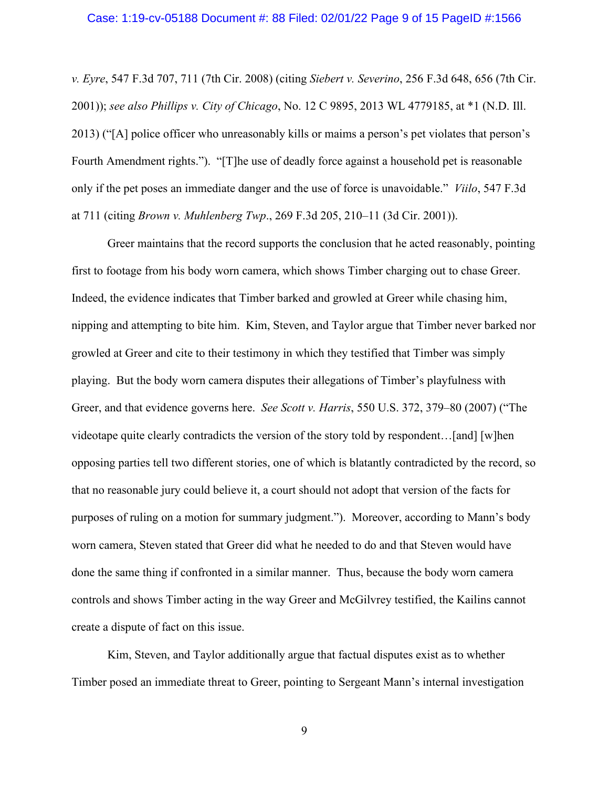*v. Eyre*, 547 F.3d 707, 711 (7th Cir. 2008) (citing *Siebert v. Severino*, 256 F.3d 648, 656 (7th Cir. 2001)); *see also Phillips v. City of Chicago*, No. 12 C 9895, 2013 WL 4779185, at \*1 (N.D. Ill. 2013) ("[A] police officer who unreasonably kills or maims a person's pet violates that person's Fourth Amendment rights."). "[T]he use of deadly force against a household pet is reasonable only if the pet poses an immediate danger and the use of force is unavoidable." *Viilo*, 547 F.3d at 711 (citing *Brown v. Muhlenberg Twp*., 269 F.3d 205, 210–11 (3d Cir. 2001)).

Greer maintains that the record supports the conclusion that he acted reasonably, pointing first to footage from his body worn camera, which shows Timber charging out to chase Greer. Indeed, the evidence indicates that Timber barked and growled at Greer while chasing him, nipping and attempting to bite him. Kim, Steven, and Taylor argue that Timber never barked nor growled at Greer and cite to their testimony in which they testified that Timber was simply playing. But the body worn camera disputes their allegations of Timber's playfulness with Greer, and that evidence governs here. *See Scott v. Harris*, 550 U.S. 372, 379–80 (2007) ("The videotape quite clearly contradicts the version of the story told by respondent…[and] [w]hen opposing parties tell two different stories, one of which is blatantly contradicted by the record, so that no reasonable jury could believe it, a court should not adopt that version of the facts for purposes of ruling on a motion for summary judgment."). Moreover, according to Mann's body worn camera, Steven stated that Greer did what he needed to do and that Steven would have done the same thing if confronted in a similar manner. Thus, because the body worn camera controls and shows Timber acting in the way Greer and McGilvrey testified, the Kailins cannot create a dispute of fact on this issue.

Kim, Steven, and Taylor additionally argue that factual disputes exist as to whether Timber posed an immediate threat to Greer, pointing to Sergeant Mann's internal investigation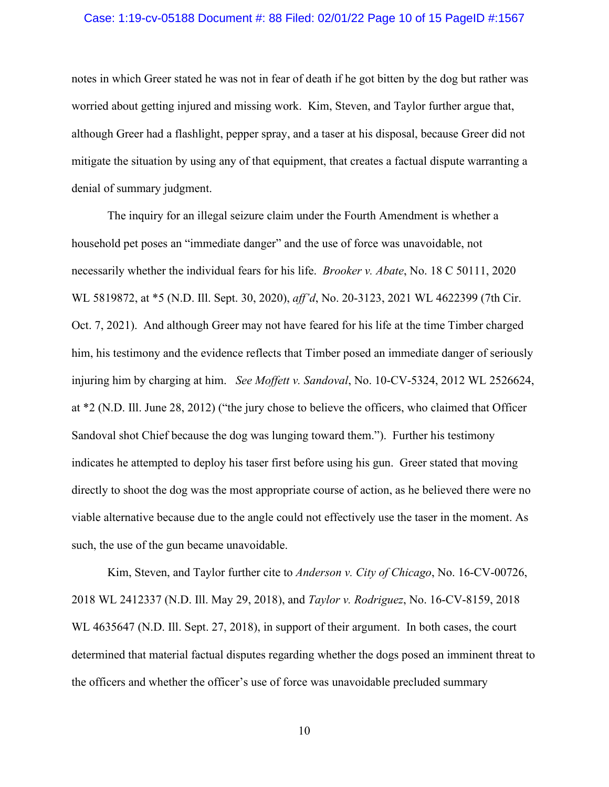#### Case: 1:19-cv-05188 Document #: 88 Filed: 02/01/22 Page 10 of 15 PageID #:1567

notes in which Greer stated he was not in fear of death if he got bitten by the dog but rather was worried about getting injured and missing work. Kim, Steven, and Taylor further argue that, although Greer had a flashlight, pepper spray, and a taser at his disposal, because Greer did not mitigate the situation by using any of that equipment, that creates a factual dispute warranting a denial of summary judgment.

The inquiry for an illegal seizure claim under the Fourth Amendment is whether a household pet poses an "immediate danger" and the use of force was unavoidable, not necessarily whether the individual fears for his life. *Brooker v. Abate*, No. 18 C 50111, 2020 WL 5819872, at \*5 (N.D. Ill. Sept. 30, 2020), *aff'd*, No. 20-3123, 2021 WL 4622399 (7th Cir. Oct. 7, 2021). And although Greer may not have feared for his life at the time Timber charged him, his testimony and the evidence reflects that Timber posed an immediate danger of seriously injuring him by charging at him. *See Moffett v. Sandoval*, No. 10-CV-5324, 2012 WL 2526624, at \*2 (N.D. Ill. June 28, 2012) ("the jury chose to believe the officers, who claimed that Officer Sandoval shot Chief because the dog was lunging toward them."). Further his testimony indicates he attempted to deploy his taser first before using his gun. Greer stated that moving directly to shoot the dog was the most appropriate course of action, as he believed there were no viable alternative because due to the angle could not effectively use the taser in the moment. As such, the use of the gun became unavoidable.

Kim, Steven, and Taylor further cite to *Anderson v. City of Chicago*, No. 16-CV-00726, 2018 WL 2412337 (N.D. Ill. May 29, 2018), and *Taylor v. Rodriguez*, No. 16-CV-8159, 2018 WL 4635647 (N.D. Ill. Sept. 27, 2018), in support of their argument. In both cases, the court determined that material factual disputes regarding whether the dogs posed an imminent threat to the officers and whether the officer's use of force was unavoidable precluded summary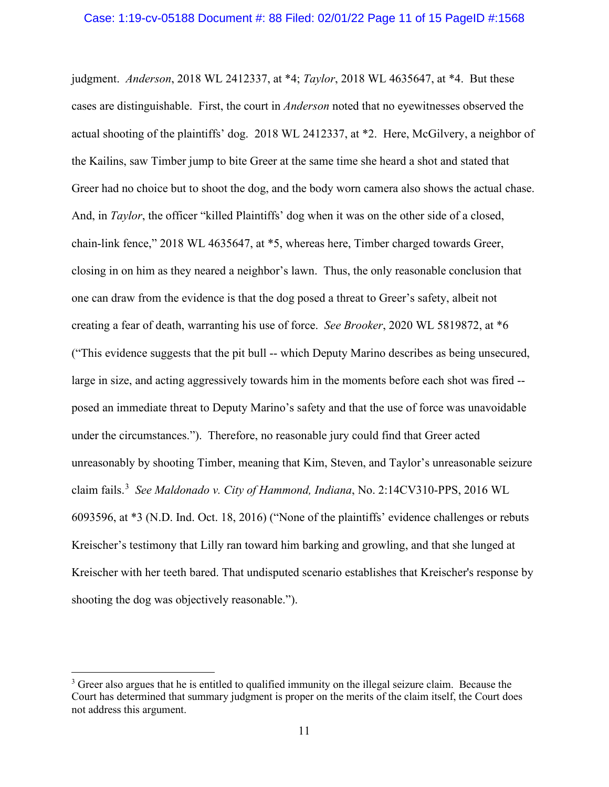judgment. *Anderson*, 2018 WL 2412337, at \*4; *Taylor*, 2018 WL 4635647, at \*4. But these cases are distinguishable. First, the court in *Anderson* noted that no eyewitnesses observed the actual shooting of the plaintiffs' dog. 2018 WL 2412337, at \*2. Here, McGilvery, a neighbor of the Kailins, saw Timber jump to bite Greer at the same time she heard a shot and stated that Greer had no choice but to shoot the dog, and the body worn camera also shows the actual chase. And, in *Taylor*, the officer "killed Plaintiffs' dog when it was on the other side of a closed, chain-link fence," 2018 WL 4635647, at \*5, whereas here, Timber charged towards Greer, closing in on him as they neared a neighbor's lawn. Thus, the only reasonable conclusion that one can draw from the evidence is that the dog posed a threat to Greer's safety, albeit not creating a fear of death, warranting his use of force. *See Brooker*, 2020 WL 5819872, at \*6 ("This evidence suggests that the pit bull -- which Deputy Marino describes as being unsecured, large in size, and acting aggressively towards him in the moments before each shot was fired - posed an immediate threat to Deputy Marino's safety and that the use of force was unavoidable under the circumstances."). Therefore, no reasonable jury could find that Greer acted unreasonably by shooting Timber, meaning that Kim, Steven, and Taylor's unreasonable seizure claim fails. [3](#page-10-0) *See Maldonado v. City of Hammond, Indiana*, No. 2:14CV310-PPS, 2016 WL 6093596, at \*3 (N.D. Ind. Oct. 18, 2016) ("None of the plaintiffs' evidence challenges or rebuts Kreischer's testimony that Lilly ran toward him barking and growling, and that she lunged at Kreischer with her teeth bared. That undisputed scenario establishes that Kreischer's response by shooting the dog was objectively reasonable.").

<span id="page-10-0"></span><sup>&</sup>lt;sup>3</sup> Greer also argues that he is entitled to qualified immunity on the illegal seizure claim. Because the Court has determined that summary judgment is proper on the merits of the claim itself, the Court does not address this argument.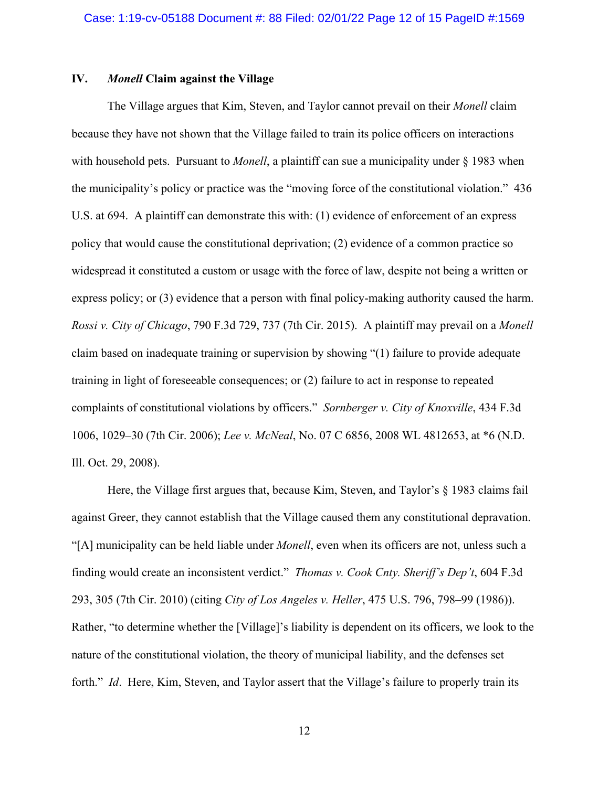## **IV.** *Monell* **Claim against the Village**

The Village argues that Kim, Steven, and Taylor cannot prevail on their *Monell* claim because they have not shown that the Village failed to train its police officers on interactions with household pets. Pursuant to *Monell*, a plaintiff can sue a municipality under § 1983 when the municipality's policy or practice was the "moving force of the constitutional violation." 436 U.S. at 694. A plaintiff can demonstrate this with: (1) evidence of enforcement of an express policy that would cause the constitutional deprivation; (2) evidence of a common practice so widespread it constituted a custom or usage with the force of law, despite not being a written or express policy; or (3) evidence that a person with final policy-making authority caused the harm. *Rossi v. City of Chicago*, 790 F.3d 729, 737 (7th Cir. 2015). A plaintiff may prevail on a *Monell* claim based on inadequate training or supervision by showing "(1) failure to provide adequate training in light of foreseeable consequences; or (2) failure to act in response to repeated complaints of constitutional violations by officers." *Sornberger v. City of Knoxville*, 434 F.3d 1006, 1029–30 (7th Cir. 2006); *Lee v. McNeal*, No. 07 C 6856, 2008 WL 4812653, at \*6 (N.D. Ill. Oct. 29, 2008).

Here, the Village first argues that, because Kim, Steven, and Taylor's § 1983 claims fail against Greer, they cannot establish that the Village caused them any constitutional depravation. "[A] municipality can be held liable under *Monell*, even when its officers are not, unless such a finding would create an inconsistent verdict." *Thomas v. Cook Cnty. Sheriff's Dep't*, 604 F.3d 293, 305 (7th Cir. 2010) (citing *City of Los Angeles v. Heller*, 475 U.S. 796, 798–99 (1986)). Rather, "to determine whether the [Village]'s liability is dependent on its officers, we look to the nature of the constitutional violation, the theory of municipal liability, and the defenses set forth." *Id.* Here, Kim, Steven, and Taylor assert that the Village's failure to properly train its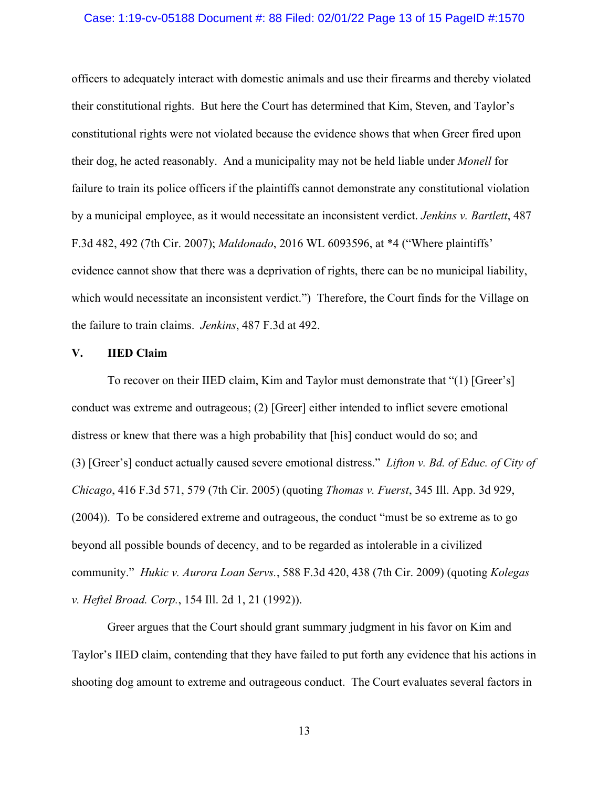#### Case: 1:19-cv-05188 Document #: 88 Filed: 02/01/22 Page 13 of 15 PageID #:1570

officers to adequately interact with domestic animals and use their firearms and thereby violated their constitutional rights. But here the Court has determined that Kim, Steven, and Taylor's constitutional rights were not violated because the evidence shows that when Greer fired upon their dog, he acted reasonably. And a municipality may not be held liable under *Monell* for failure to train its police officers if the plaintiffs cannot demonstrate any constitutional violation by a municipal employee, as it would necessitate an inconsistent verdict. *Jenkins v. Bartlett*, 487 F.3d 482, 492 (7th Cir. 2007); *Maldonado*, 2016 WL 6093596, at \*4 ("Where plaintiffs' evidence cannot show that there was a deprivation of rights, there can be no municipal liability, which would necessitate an inconsistent verdict.") Therefore, the Court finds for the Village on the failure to train claims. *Jenkins*, 487 F.3d at 492.

#### **V. IIED Claim**

To recover on their IIED claim, Kim and Taylor must demonstrate that "(1) [Greer's] conduct was extreme and outrageous; (2) [Greer] either intended to inflict severe emotional distress or knew that there was a high probability that [his] conduct would do so; and (3) [Greer's] conduct actually caused severe emotional distress." *Lifton v. Bd. of Educ. of City of Chicago*, 416 F.3d 571, 579 (7th Cir. 2005) (quoting *Thomas v. Fuerst*, 345 Ill. App. 3d 929, (2004)). To be considered extreme and outrageous, the conduct "must be so extreme as to go beyond all possible bounds of decency, and to be regarded as intolerable in a civilized community." *Hukic v. Aurora Loan Servs.*, 588 F.3d 420, 438 (7th Cir. 2009) (quoting *Kolegas v. Heftel Broad. Corp.*, 154 Ill. 2d 1, 21 (1992)).

Greer argues that the Court should grant summary judgment in his favor on Kim and Taylor's IIED claim, contending that they have failed to put forth any evidence that his actions in shooting dog amount to extreme and outrageous conduct. The Court evaluates several factors in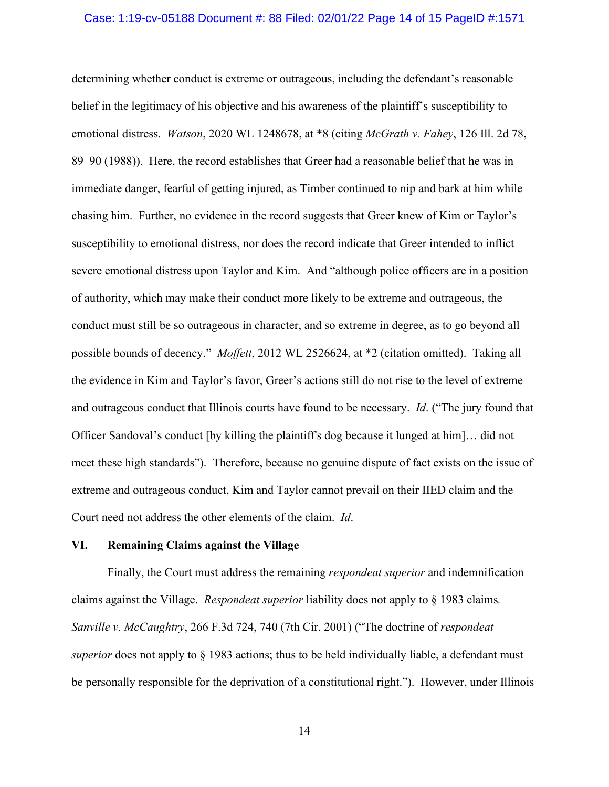#### Case: 1:19-cv-05188 Document #: 88 Filed: 02/01/22 Page 14 of 15 PageID #:1571

determining whether conduct is extreme or outrageous, including the defendant's reasonable belief in the legitimacy of his objective and his awareness of the plaintiff's susceptibility to emotional distress. *Watson*, 2020 WL 1248678, at \*8 (citing *McGrath v. Fahey*, 126 Ill. 2d 78, 89–90 (1988)). Here, the record establishes that Greer had a reasonable belief that he was in immediate danger, fearful of getting injured, as Timber continued to nip and bark at him while chasing him. Further, no evidence in the record suggests that Greer knew of Kim or Taylor's susceptibility to emotional distress, nor does the record indicate that Greer intended to inflict severe emotional distress upon Taylor and Kim. And "although police officers are in a position of authority, which may make their conduct more likely to be extreme and outrageous, the conduct must still be so outrageous in character, and so extreme in degree, as to go beyond all possible bounds of decency." *Moffett*, 2012 WL 2526624, at \*2 (citation omitted). Taking all the evidence in Kim and Taylor's favor, Greer's actions still do not rise to the level of extreme and outrageous conduct that Illinois courts have found to be necessary. *Id*. ("The jury found that Officer Sandoval's conduct [by killing the plaintiff's dog because it lunged at him]… did not meet these high standards"). Therefore, because no genuine dispute of fact exists on the issue of extreme and outrageous conduct, Kim and Taylor cannot prevail on their IIED claim and the Court need not address the other elements of the claim. *Id*.

## **VI. Remaining Claims against the Village**

Finally, the Court must address the remaining *respondeat superior* and indemnification claims against the Village. *Respondeat superior* liability does not apply to § 1983 claims*. Sanville v. McCaughtry*, 266 F.3d 724, 740 (7th Cir. 2001) ("The doctrine of *respondeat superior* does not apply to § 1983 actions; thus to be held individually liable, a defendant must be personally responsible for the deprivation of a constitutional right."). However, under Illinois